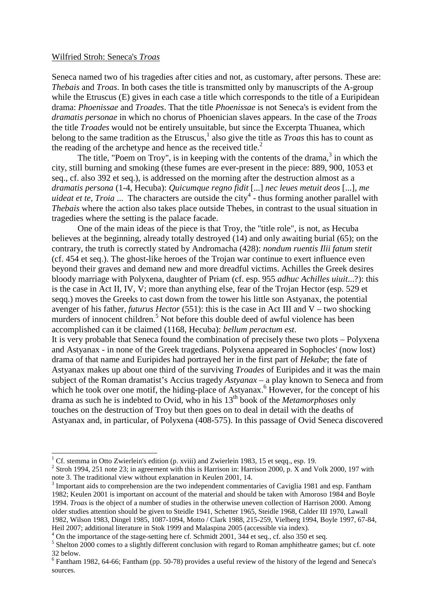## Wilfried Stroh: Seneca's *Troas*

-

Seneca named two of his tragedies after cities and not, as customary, after persons. These are: *Thebais* and *Troas*. In both cases the title is transmitted only by manuscripts of the A-group while the Etruscus (E) gives in each case a title which corresponds to the title of a Euripidean drama: *Phoenissae* and *Troades*. That the title *Phoenissae* is not Seneca's is evident from the *dramatis personae* in which no chorus of Phoenician slaves appears. In the case of the *Troas* the title *Troades* would not be entirely unsuitable, but since the Excerpta Thuanea, which belong to the same tradition as the Etruscus,<sup>1</sup> also give the title as *Troas* this has to count as the reading of the archetype and hence as the received title. $<sup>2</sup>$ </sup>

The title, "Poem on Troy", is in keeping with the contents of the drama, $3$  in which the city, still burning and smoking (these fumes are ever-present in the piece: 889, 900, 1053 et seq., cf. also 392 et seq.), is addressed on the morning after the destruction almost as a *dramatis persona* (1-4, Hecuba): *Quicumque regno fidit* [...] *nec leues metuit deos* [...], *me uideat et te, Troia* ... The characters are outside the city<sup>4</sup> - thus forming another parallel with *Thebais* where the action also takes place outside Thebes, in contrast to the usual situation in tragedies where the setting is the palace facade.

One of the main ideas of the piece is that Troy, the "title role", is not, as Hecuba believes at the beginning, already totally destroyed (14) and only awaiting burial (65); on the contrary, the truth is correctly stated by Andromacha (428): *nondum ruentis Ilii fatum stetit*  (cf. 454 et seq.). The ghost-like heroes of the Trojan war continue to exert influence even beyond their graves and demand new and more dreadful victims. Achilles the Greek desires bloody marriage with Polyxena, daughter of Priam (cf. esp. 955 *adhuc Achilles uiuit*...?): this is the case in Act II, IV, V; more than anything else, fear of the Trojan Hector (esp. 529 et seqq.) moves the Greeks to cast down from the tower his little son Astyanax, the potential avenger of his father, *futurus Hector* (551): this is the case in Act III and V – two shocking murders of innocent children.<sup>5</sup> Not before this double deed of awful violence has been accomplished can it be claimed (1168, Hecuba): *bellum peractum est*.

It is very probable that Seneca found the combination of precisely these two plots – Polyxena and Astyanax - in none of the Greek tragedians. Polyxena appeared in Sophocles' (now lost) drama of that name and Euripides had portrayed her in the first part of *Hekabe*; the fate of Astyanax makes up about one third of the surviving *Troades* of Euripides and it was the main subject of the Roman dramatist's Accius tragedy *Astyanax* – a play known to Seneca and from which he took over one motif, the hiding-place of Astyanax.<sup>6</sup> However, for the concept of his drama as such he is indebted to Ovid, who in his 13th book of the *Metamorphoses* only touches on the destruction of Troy but then goes on to deal in detail with the deaths of Astyanax and, in particular, of Polyxena (408-575). In this passage of Ovid Seneca discovered

<sup>&</sup>lt;sup>1</sup> Cf. stemma in Otto Zwierlein's edition (p. xviii) and Zwierlein 1983, 15 et seqq., esp. 19.

<sup>&</sup>lt;sup>2</sup> Stroh 1994, 251 note 23; in agreement with this is Harrison in: Harrison 2000, p. X and Volk 2000, 197 with note 3. The traditional view without explanation in Keulen 2001, 14.

 $3$  Important aids to comprehension are the two independent commentaries of Caviglia 1981 and esp. Fantham 1982; Keulen 2001 is important on account of the material and should be taken with Amoroso 1984 and Boyle 1994. *Troas* is the object of a number of studies in the otherwise uneven collection of Harrison 2000. Among older studies attention should be given to Steidle 1941, Schetter 1965, Steidle 1968, Calder III 1970, Lawall 1982, Wilson 1983, Dingel 1985, 1087-1094, Motto / Clark 1988, 215-259, Vielberg 1994, Boyle 1997, 67-84, Heil 2007; additional literature in Stok 1999 and Malaspina 2005 (accessible via index).

<sup>&</sup>lt;sup>4</sup> On the importance of the stage-setting here cf. Schmidt 2001, 344 et seq., cf. also 350 et seq.

<sup>&</sup>lt;sup>5</sup> Shelton 2000 comes to a slightly different conclusion with regard to Roman amphitheatre games; but cf. note 32 below.

<sup>&</sup>lt;sup>6</sup> Fantham 1982, 64-66; Fantham (pp. 50-78) provides a useful review of the history of the legend and Seneca's sources.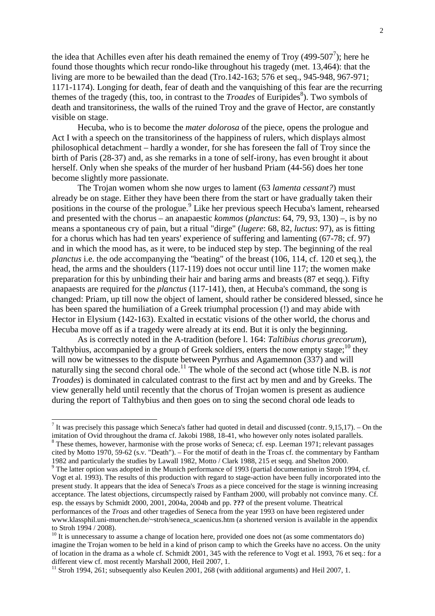the idea that Achilles even after his death remained the enemy of Troy (499-507<sup>7</sup>); here he found those thoughts which recur rondo-like throughout his tragedy (met. 13,464): that the living are more to be bewailed than the dead (Tro.142-163; 576 et seq., 945-948, 967-971; 1171-1174). Longing for death, fear of death and the vanquishing of this fear are the recurring themes of the tragedy (this, too, in contrast to the *Troades* of Euripides<sup>8</sup>). Two symbols of death and transitoriness, the walls of the ruined Troy and the grave of Hector, are constantly visible on stage.

 Hecuba, who is to become the *mater dolorosa* of the piece, opens the prologue and Act I with a speech on the transitoriness of the happiness of rulers, which displays almost philosophical detachment – hardly a wonder, for she has foreseen the fall of Troy since the birth of Paris (28-37) and, as she remarks in a tone of self-irony, has even brought it about herself. Only when she speaks of the murder of her husband Priam (44-56) does her tone become slightly more passionate.

 The Trojan women whom she now urges to lament (63 *lamenta cessant?*) must already be on stage. Either they have been there from the start or have gradually taken their positions in the course of the prologue.<sup>9</sup> Like her previous speech Hecuba's lament, rehearsed and presented with the chorus – an anapaestic *kommos* (*planctus*: 64, 79, 93, 130) –, is by no means a spontaneous cry of pain, but a ritual "dirge" (*lugere*: 68, 82, *luctus*: 97), as is fitting for a chorus which has had ten years' experience of suffering and lamenting (67-78; cf. 97) and in which the mood has, as it were, to be induced step by step. The beginning of the real *planctus* i.e. the ode accompanying the "beating" of the breast (106, 114, cf. 120 et seq.), the head, the arms and the shoulders (117-119) does not occur until line 117; the women make preparation for this by unbinding their hair and baring arms and breasts (87 et seqq.). Fifty anapaests are required for the *planctus* (117-141), then, at Hecuba's command, the song is changed: Priam, up till now the object of lament, should rather be considered blessed, since he has been spared the humiliation of a Greek triumphal procession (!) and may abide with Hector in Elysium (142-163). Exalted in ecstatic visions of the other world, the chorus and Hecuba move off as if a tragedy were already at its end. But it is only the beginning.

 As is correctly noted in the A-tradition (before l. 164: *Taltibius chorus grecorum*), Talthybius, accompanied by a group of Greek soldiers, enters the now empty stage; $^{10}$  they will now be witnesses to the dispute between Pyrrhus and Agamemnon (337) and will naturally sing the second choral ode.<sup>11</sup> The whole of the second act (whose title N.B. is *not Troades*) is dominated in calculated contrast to the first act by men and and by Greeks. The view generally held until recently that the chorus of Trojan women is present as audience during the report of Talthybius and then goes on to sing the second choral ode leads to

l

cited by Motto 1970, 59-62 (s.v. "Death"). – For the motif of death in the Troas cf. the commentary by Fantham 1982 and particularly the studies by Lawall 1982, Motto / Clark 1988, 215 et seqq. and Shelton 2000.

<sup>&</sup>lt;sup>7</sup> It was precisely this passage which Seneca's father had quoted in detail and discussed (contr. 9,15,17). – On the imitation of Ovid throughout the drama cf. Jakobi 1988, 18-41, who however only notes isolated parallels. <sup>8</sup> These themes, however, harmonise with the prose works of Seneca; cf. esp. Leeman 1971; relevant passages

<sup>&</sup>lt;sup>9</sup> The latter option was adopted in the Munich performance of 1993 (partial documentation in Stroh 1994, cf. Vogt et al. 1993). The results of this production with regard to stage-action have been fully incorporated into the present study. It appears that the idea of Seneca's *Troas* as a piece conceived for the stage is winning increasing acceptance. The latest objections, circumspectly raised by Fantham 2000, will probably not convince many. Cf. esp. the essays by Schmidt 2000, 2001, 2004a, 2004b and pp. **???** of the present volume. Theatrical performances of the *Troas* and other tragedies of Seneca from the year 1993 on have been registered under www.klassphil.uni-muenchen.de/~stroh/seneca\_scaenicus.htm (a shortened version is available in the appendix to Stroh 1994 / 2008).

<sup>&</sup>lt;sup>10</sup> It is unnecessary to assume a change of location here, provided one does not (as some commentators do) imagine the Trojan women to be held in a kind of prison camp to which the Greeks have no access. On the unity of location in the drama as a whole cf. Schmidt 2001, 345 with the reference to Vogt et al. 1993, 76 et seq.: for a different view cf. most recently Marshall 2000, Heil 2007, 1.

<sup>&</sup>lt;sup>11</sup> Stroh 1994, 261; subsequently also Keulen 2001, 268 (with additional arguments) and Heil 2007, 1.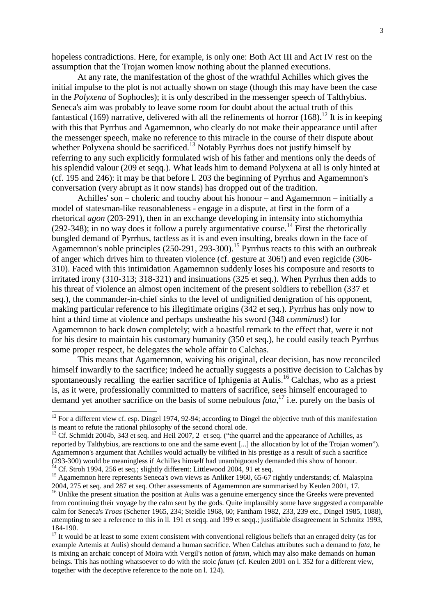hopeless contradictions. Here, for example, is only one: Both Act III and Act IV rest on the assumption that the Trojan women know nothing about the planned executions.

 At any rate, the manifestation of the ghost of the wrathful Achilles which gives the initial impulse to the plot is not actually shown on stage (though this may have been the case in the *Polyxena* of Sophocles); it is only described in the messenger speech of Talthybius. Seneca's aim was probably to leave some room for doubt about the actual truth of this fantastical (169) narrative, delivered with all the refinements of horror  $(168)$ .<sup>12</sup> It is in keeping with this that Pyrrhus and Agamemnon, who clearly do not make their appearance until after the messenger speech, make no reference to this miracle in the course of their dispute about whether Polyxena should be sacrificed.<sup>13</sup> Notably Pyrrhus does not justify himself by referring to any such explicitly formulated wish of his father and mentions only the deeds of his splendid valour (209 et seqq.). What leads him to demand Polyxena at all is only hinted at (cf. 195 and 246): it may be that before l. 203 the beginning of Pyrrhus and Agamemnon's conversation (very abrupt as it now stands) has dropped out of the tradition.

 Achilles' son – choleric and touchy about his honour – and Agamemnon – initially a model of statesman-like reasonableness - engage in a dispute, at first in the form of a rhetorical *agon* (203-291), then in an exchange developing in intensity into stichomythia (292-348); in no way does it follow a purely argumentative course.<sup>14</sup> First the rhetorically bungled demand of Pyrrhus, tactless as it is and even insulting, breaks down in the face of Agamemnon's noble principles  $(250-291, 293-300)$ .<sup>15</sup> Pyrrhus reacts to this with an outbreak of anger which drives him to threaten violence (cf. gesture at 306!) and even regicide (306- 310). Faced with this intimidation Agamemnon suddenly loses his composure and resorts to irritated irony (310-313; 318-321) and insinuations (325 et seq.). When Pyrrhus then adds to his threat of violence an almost open incitement of the present soldiers to rebellion (337 et seq.), the commander-in-chief sinks to the level of undignified denigration of his opponent, making particular reference to his illegitimate origins (342 et seq.). Pyrrhus has only now to hint a third time at violence and perhaps unsheathe his sword (348 *comminus*!) for Agamemnon to back down completely; with a boastful remark to the effect that, were it not for his desire to maintain his customary humanity (350 et seq.), he could easily teach Pyrrhus some proper respect, he delegates the whole affair to Calchas.

 This means that Agamemnon, waiving his original, clear decision, has now reconciled himself inwardly to the sacrifice; indeed he actually suggests a positive decision to Calchas by spontaneously recalling the earlier sacrifice of Iphigenia at Aulis.<sup>16</sup> Calchas, who as a priest is, as it were, professionally committed to matters of sacrifice, sees himself encouraged to demand yet another sacrifice on the basis of some nebulous *fata*, <sup>17</sup> i.e. purely on the basis of

 $12$  For a different view cf. esp. Dingel 1974, 92-94; according to Dingel the objective truth of this manifestation is meant to refute the rational philosophy of the second choral ode.

<sup>&</sup>lt;sup>13</sup> Cf. Schmidt 2004b, 343 et seq. and Heil 2007, 2 et seq. ("the quarrel and the appearance of Achilles, as reported by Talthybius, are reactions to one and the same event [...] the allocation by lot of the Trojan women"). Agamemnon's argument that Achilles would actually be vilified in his prestige as a result of such a sacrifice (293-300) would be meaningless if Achilles himself had unambiguously demanded this show of honour.  $14$  Cf. Stroh 1994, 256 et seq.; slightly different: Littlewood 2004, 91 et seq.

<sup>&</sup>lt;sup>15</sup> Agamemnon here represents Seneca's own views as Anliker 1960, 65-67 rightly understands; cf. Malaspina 2004, 275 et seq. and 287 et seq. Other assessments of Agamemnon are summarised by Keulen 2001, 17.

<sup>&</sup>lt;sup>16</sup> Unlike the present situation the position at Aulis was a genuine emergency since the Greeks were prevented from continuing their voyage by the calm sent by the gods. Quite implausibly some have suggested a comparable calm for Seneca's *Troas* (Schetter 1965, 234; Steidle 1968, 60; Fantham 1982, 233, 239 etc., Dingel 1985, 1088), attempting to see a reference to this in ll. 191 et seqq. and 199 et seqq.; justifiable disagreement in Schmitz 1993, 184-190.

<sup>&</sup>lt;sup>17</sup> It would be at least to some extent consistent with conventional religious beliefs that an enraged deity (as for example Artemis at Aulis) should demand a human sacrifice. When Calchas attributes such a demand to *fata*, he is mixing an archaic concept of Moira with Vergil's notion of *fatum*, which may also make demands on human beings. This has nothing whatsoever to do with the stoic *fatum* (cf. Keulen 2001 on l. 352 for a different view, together with the deceptive reference to the note on l. 124).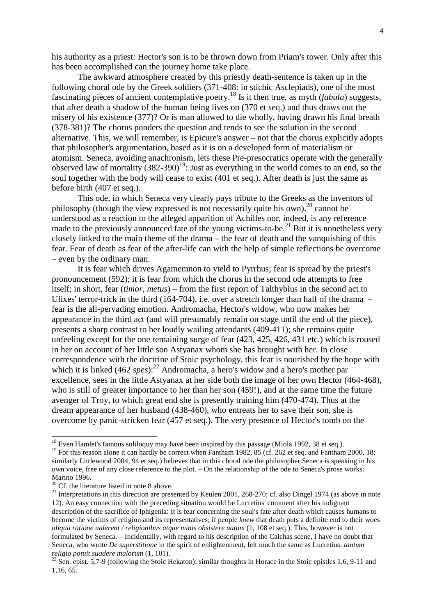his authority as a priest: Hector's son is to be thrown down from Priam's tower. Only after this has been accomplished can the journey home take place.

 The awkward atmosphere created by this priestly death-sentence is taken up in the following choral ode by the Greek soldiers (371-408: in stichic Asclepiads), one of the most fascinating pieces of ancient contemplative poetry.<sup>18</sup> Is it then true, as myth (*fabula*) suggests, that after death a shadow of the human being lives on (370 et seq.) and thus draws out the misery of his existence (377)? Or is man allowed to die wholly, having drawn his final breath (378-381)? The chorus ponders the question and tends to see the solution in the second alternative. This, we will remember, is Epicure's answer – not that the chorus explicitly adopts that philosopher's argumentation, based as it is on a developed form of materialism or atomism. Seneca, avoiding anachronism, lets these Pre-presocratics operate with the generally observed law of mortality  $(382-390)^{19}$ : Just as everything in the world comes to an end, so the soul together with the body will cease to exist (401 et seq.). After death is just the same as before birth (407 et seq.).

 This ode, in which Seneca very clearly pays tribute to the Greeks as the inventors of philosophy (though the view expressed is not necessarily quite his own),  $^{20}$  cannot be understood as a reaction to the alleged apparition of Achilles nor, indeed, is any reference made to the previously announced fate of the young victims-to-be.<sup>21</sup> But it is nonetheless very closely linked to the main theme of the drama – the fear of death and the vanquishing of this fear. Fear of death as fear of the after-life can with the help of simple reflections be overcome – even by the ordinary man.

 It is fear which drives Agamemnon to yield to Pyrrhus; fear is spread by the priest's pronouncement (592); it is fear from which the chorus in the second ode attempts to free itself; in short, fear (*timor, metus*) – from the first report of Talthybius in the second act to Ulixes' terror-trick in the third (164-704), i.e. over a stretch longer than half of the drama – fear is the all-pervading emotion. Andromacha, Hector's widow, who now makes her appearance in the third act (and will presumably remain on stage until the end of the piece), presents a sharp contrast to her loudly wailing attendants (409-411); she remains quite unfeeling except for the one remaining surge of fear (423, 425, 426, 431 etc.) which is roused in her on account of her little son Astyanax whom she has brought with her. In close correspondence with the doctrine of Stoic psychology, this fear is nourished by the hope with which it is linked (462 *spes*):<sup>22</sup> Andromacha, a hero's widow and a hero's mother par excellence, sees in the little Astyanax at her side both the image of her own Hector (464-468), who is still of greater importance to her than her son (459!), and at the same time the future avenger of Troy, to which great end she is presently training him (470-474). Thus at the dream appearance of her husband (438-460), who entreats her to save their son, she is overcome by panic-stricken fear (457 et seq.). The very presence of Hector's tomb on the

 $18$  Even Hamlet's famous soliloquy may have been inspired by this passage (Miola 1992, 38 et seq.).

<sup>&</sup>lt;sup>19</sup> For this reason alone it can hardly be correct when Fantham 1982, 85 (cf. 262 et seq. and Fantham 2000, 18; similarly Littlewood 2004, 94 et seq.) believes that in this choral ode the philosopher Seneca is speaking in his own voice, free of any close reference to the plot. – On the relationship of the ode to Seneca's prose works: Marino 1996.

 $20$  Cf. the literature listed in note 8 above.

 $^{21}$  Interpretations in this direction are presented by Keulen 2001, 268-270; cf. also Dingel 1974 (as above in note 12). An easy connection with the preceding situation would be Lucretius' comment after his indignant description of the sacrifice of Iphigenia: It is fear concerning the soul's fate after death which causes humans to become the victims of religion and its representatives; if people *knew* that death puts a definite end to their woes *aliqua ratione ualerent / religionibus atque minis obsistere uatum* (1, 108 et seq.). This, however is not formulated by Seneca. – Incidentally, with regard to his description of the Calchas scene, I have no doubt that Seneca, who wrote *De superstitione* in the spirit of enlightenment, felt much the same as Lucretius: *tantum religio potuit suadere malorum* (1, 101).

 $22$  Sen. epist. 5,7-9 (following the Stoic Hekaton): similar thoughts in Horace in the Stoic epistles 1,6, 9-11 and 1,16, 65.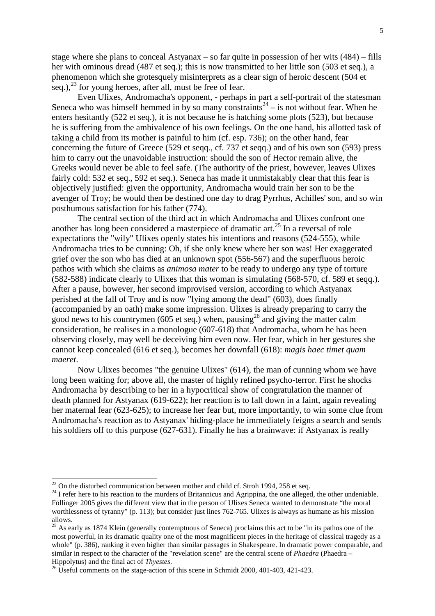stage where she plans to conceal Astyanax – so far quite in possession of her wits (484) – fills her with ominous dread (487 et seq.); this is now transmitted to her little son (503 et seq.), a phenomenon which she grotesquely misinterprets as a clear sign of heroic descent (504 et seq.),  $^{23}$  for young heroes, after all, must be free of fear.

Even Ulixes, Andromacha's opponent, - perhaps in part a self-portrait of the statesman Seneca who was himself hemmed in by so many constraints<sup>24</sup> – is not without fear. When he enters hesitantly (522 et seq.), it is not because he is hatching some plots (523), but because he is suffering from the ambivalence of his own feelings. On the one hand, his allotted task of taking a child from its mother is painful to him (cf. esp. 736); on the other hand, fear concerning the future of Greece (529 et seqq., cf. 737 et seqq.) and of his own son (593) press him to carry out the unavoidable instruction: should the son of Hector remain alive, the Greeks would never be able to feel safe. (The authority of the priest, however, leaves Ulixes fairly cold: 532 et seq., 592 et seq.). Seneca has made it unmistakably clear that this fear is objectively justified: given the opportunity, Andromacha would train her son to be the avenger of Troy; he would then be destined one day to drag Pyrrhus, Achilles' son, and so win posthumous satisfaction for his father (774).

The central section of the third act in which Andromacha and Ulixes confront one another has long been considered a masterpiece of dramatic art.<sup>25</sup> In a reversal of role expectations the "wily" Ulixes openly states his intentions and reasons (524-555), while Andromacha tries to be cunning: Oh, if she only knew where her son was! Her exaggerated grief over the son who has died at an unknown spot (556-567) and the superfluous heroic pathos with which she claims as *animosa mater* to be ready to undergo any type of torture (582-588) indicate clearly to Ulixes that this woman is simulating (568-570, cf. 589 et seqq.). After a pause, however, her second improvised version, according to which Astyanax perished at the fall of Troy and is now "lying among the dead" (603), does finally (accompanied by an oath) make some impression. Ulixes is already preparing to carry the good news to his countrymen (605 et seq.) when, pausing<sup>26</sup> and giving the matter calm consideration, he realises in a monologue (607-618) that Andromacha, whom he has been observing closely, may well be deceiving him even now. Her fear, which in her gestures she cannot keep concealed (616 et seq.), becomes her downfall (618): *magis haec timet quam maeret*.

 Now Ulixes becomes "the genuine Ulixes" (614), the man of cunning whom we have long been waiting for; above all, the master of highly refined psycho-terror. First he shocks Andromacha by describing to her in a hypocritical show of congratulation the manner of death planned for Astyanax (619-622); her reaction is to fall down in a faint, again revealing her maternal fear (623-625); to increase her fear but, more importantly, to win some clue from Andromacha's reaction as to Astyanax' hiding-place he immediately feigns a search and sends his soldiers off to this purpose (627-631). Finally he has a brainwave: if Astyanax is really

-

 $^{23}$  On the disturbed communication between mother and child cf. Stroh 1994, 258 et seq.

<sup>&</sup>lt;sup>24</sup> I refer here to his reaction to the murders of Britannicus and Agrippina, the one alleged, the other undeniable. Föllinger 2005 gives the different view that in the person of Ulixes Seneca wanted to demonstrate "the moral worthlessness of tyranny" (p. 113); but consider just lines 762-765. Ulixes is always as humane as his mission allows.

<sup>&</sup>lt;sup>25</sup> As early as 1874 Klein (generally contemptuous of Seneca) proclaims this act to be "in its pathos one of the most powerful, in its dramatic quality one of the most magnificent pieces in the heritage of classical tragedy as a whole" (p. 386), ranking it even higher than similar passages in Shakespeare. In dramatic power comparable, and similar in respect to the character of the "revelation scene" are the central scene of *Phaedra* (Phaedra – Hippolytus) and the final act of *Thyestes*.

<sup>&</sup>lt;sup>26</sup> Useful comments on the stage-action of this scene in Schmidt 2000, 401-403, 421-423.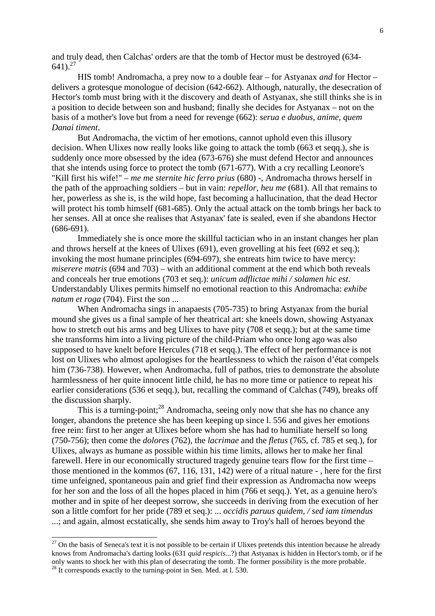and truly dead, then Calchas' orders are that the tomb of Hector must be destroyed (634-  $641$ ).<sup>27</sup>

 HIS tomb! Andromacha, a prey now to a double fear – for Astyanax *and* for Hector – delivers a grotesque monologue of decision (642-662). Although, naturally, the desecration of Hector's tomb must bring with it the discovery and death of Astyanax, she still thinks she is in a position to decide between son and husband; finally she decides for Astyanax – not on the basis of a mother's love but from a need for revenge (662): *serua e duobus, anime, quem Danai timent*.

 But Andromacha, the victim of her emotions, cannot uphold even this illusory decision. When Ulixes now really looks like going to attack the tomb (663 et seqq.), she is suddenly once more obsessed by the idea (673-676) she must defend Hector and announces that she intends using force to protect the tomb (671-677). With a cry recalling Leonore's "Kill first his wife!" – *me me sternite hic ferro prius* (680) -, Andromacha throws herself in the path of the approaching soldiers – but in vain: *repellor, heu me* (681). All that remains to her, powerless as she is, is the wild hope, fast becoming a hallucination, that the dead Hector will protect his tomb himself (681-685). Only the actual attack on the tomb brings her back to her senses. All at once she realises that Astyanax' fate is sealed, even if she abandons Hector (686-691).

 Immediately she is once more the skillful tactician who in an instant changes her plan and throws herself at the knees of Ulixes (691), even grovelling at his feet (692 et seq.); invoking the most humane principles (694-697), she entreats him twice to have mercy: *miserere matris* (694 and 703) – with an additional comment at the end which both reveals and conceals her true emotions (703 et seq.): *unicum adflictae mihi / solamen hic est*. Understandably Ulixes permits himself no emotional reaction to this Andromacha: *exhibe natum et roga* (704). First the son ...

 When Andromacha sings in anapaests (705-735) to bring Astyanax from the burial mound she gives us a final sample of her theatrical art: she kneels down, showing Astyanax how to stretch out his arms and beg Ulixes to have pity (708 et seqq.); but at the same time she transforms him into a living picture of the child-Priam who once long ago was also supposed to have knelt before Hercules (718 et seqq.). The effect of her performance is not lost on Ulixes who almost apologises for the heartlessness to which the raison d'état compels him (736-738). However, when Andromacha, full of pathos, tries to demonstrate the absolute harmlessness of her quite innocent little child, he has no more time or patience to repeat his earlier considerations (536 et seqq.), but, recalling the command of Calchas (749), breaks off the discussion sharply.

This is a turning-point;  $28$  Andromacha, seeing only now that she has no chance any longer, abandons the pretence she has been keeping up since l. 556 and gives her emotions free rein: first to her anger at Ulixes before whom she has had to humiliate herself so long (750-756); then come the *dolores* (762), the *lacrimae* and the *fletus* (765, cf. 785 et seq.), for Ulixes, always as humane as possible within his time limits, allows her to make her final farewell. Here in our economically structured tragedy genuine tears flow for the first time – those mentioned in the kommos (67, 116, 131, 142) were of a ritual nature - , here for the first time unfeigned, spontaneous pain and grief find their expression as Andromacha now weeps for her son and the loss of all the hopes placed in him (766 et seqq.). Yet, as a genuine hero's mother and in spite of her deepest sorrow, she succeeds in deriving from the execution of her son a little comfort for her pride (789 et seq.): ... *occidis paruus quidem, / sed iam timendus* ...; and again, almost ecstatically, she sends him away to Troy's hall of heroes beyond the

 $27$  On the basis of Seneca's text it is not possible to be certain if Ulixes pretends this intention because he already knows from Andromacha's darting looks (631 *quid respicis*...?) that Astyanax is hidden in Hector's tomb, or if he only wants to shock her with this plan of desecrating the tomb. The former possibility is the more probable.

<sup>&</sup>lt;sup>28</sup> It corresponds exactly to the turning-point in Sen. Med. at l. 530.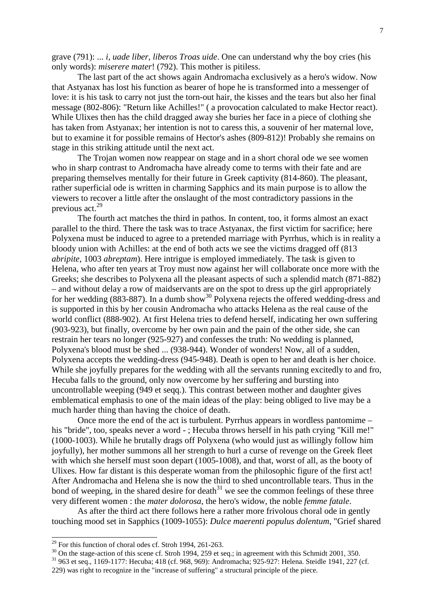grave (791): ... *i, uade liber, liberos Troas uide*. One can understand why the boy cries (his only words): *miserere mater*! (792). This mother is pitiless.

 The last part of the act shows again Andromacha exclusively as a hero's widow. Now that Astyanax has lost his function as bearer of hope he is transformed into a messenger of love: it is his task to carry not just the torn-out hair, the kisses and the tears but also her final message (802-806): "Return like Achilles!" ( a provocation calculated to make Hector react). While Ulixes then has the child dragged away she buries her face in a piece of clothing she has taken from Astyanax; her intention is not to caress this, a souvenir of her maternal love, but to examine it for possible remains of Hector's ashes (809-812)! Probably she remains on stage in this striking attitude until the next act.

 The Trojan women now reappear on stage and in a short choral ode we see women who in sharp contrast to Andromacha have already come to terms with their fate and are preparing themselves mentally for their future in Greek captivity (814-860). The pleasant, rather superficial ode is written in charming Sapphics and its main purpose is to allow the viewers to recover a little after the onslaught of the most contradictory passions in the previous act.<sup>29</sup>

 The fourth act matches the third in pathos. In content, too, it forms almost an exact parallel to the third. There the task was to trace Astyanax, the first victim for sacrifice; here Polyxena must be induced to agree to a pretended marriage with Pyrrhus, which is in reality a bloody union with Achilles: at the end of both acts we see the victims dragged off (813 *abripite*, 1003 *abreptam*). Here intrigue is employed immediately. The task is given to Helena, who after ten years at Troy must now against her will collaborate once more with the Greeks; she describes to Polyxena all the pleasant aspects of such a splendid match (871-882) – and without delay a row of maidservants are on the spot to dress up the girl appropriately for her wedding (883-887). In a dumb show<sup>30</sup> Polyxena rejects the offered wedding-dress and is supported in this by her cousin Andromacha who attacks Helena as the real cause of the world conflict (888-902). At first Helena tries to defend herself, indicating her own suffering (903-923), but finally, overcome by her own pain and the pain of the other side, she can restrain her tears no longer (925-927) and confesses the truth: No wedding is planned, Polyxena's blood must be shed ... (938-944). Wonder of wonders! Now, all of a sudden, Polyxena accepts the wedding-dress (945-948). Death is open to her and death is her choice. While she joyfully prepares for the wedding with all the servants running excitedly to and fro, Hecuba falls to the ground, only now overcome by her suffering and bursting into uncontrollable weeping (949 et seqq.). This contrast between mother and daughter gives emblematical emphasis to one of the main ideas of the play: being obliged to live may be a much harder thing than having the choice of death.

 Once more the end of the act is turbulent. Pyrrhus appears in wordless pantomime – his "bride", too, speaks never a word -; Hecuba throws herself in his path crying "Kill me!" (1000-1003). While he brutally drags off Polyxena (who would just as willingly follow him joyfully), her mother summons all her strength to hurl a curse of revenge on the Greek fleet with which she herself must soon depart (1005-1008), and that, worst of all, as the booty of Ulixes. How far distant is this desperate woman from the philosophic figure of the first act! After Andromacha and Helena she is now the third to shed uncontrollable tears. Thus in the bond of weeping, in the shared desire for death<sup>31</sup> we see the common feelings of these three very different women : the *mater dolorosa*, the hero's widow, the noble *femme fatale*.

 As after the third act there follows here a rather more frivolous choral ode in gently touching mood set in Sapphics (1009-1055): *Dulce maerenti populus dolentum*, "Grief shared

 $29$  For this function of choral odes cf. Stroh 1994, 261-263.

<sup>&</sup>lt;sup>30</sup> On the stage-action of this scene cf. Stroh 1994, 259 et seq.; in agreement with this Schmidt 2001, 350.

<sup>31</sup> 963 et seq., 1169-1177: Hecuba; 418 (cf. 968, 969): Andromacha; 925-927: Helena. Steidle 1941, 227 (cf.

<sup>229)</sup> was right to recognize in the "increase of suffering" a structural principle of the piece.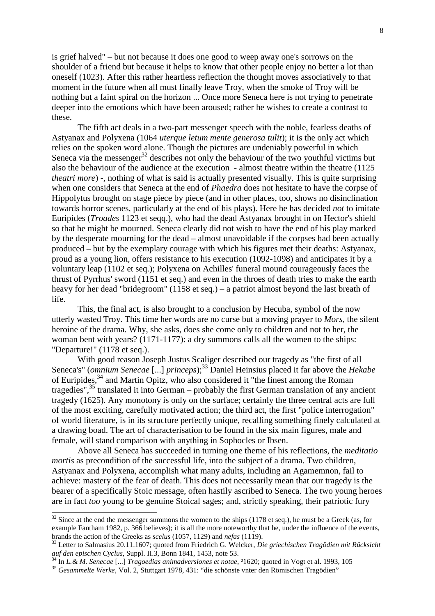is grief halved" – but not because it does one good to weep away one's sorrows on the shoulder of a friend but because it helps to know that other people enjoy no better a lot than oneself (1023). After this rather heartless reflection the thought moves associatively to that moment in the future when all must finally leave Troy, when the smoke of Troy will be nothing but a faint spiral on the horizon ... Once more Seneca here is not trying to penetrate deeper into the emotions which have been aroused; rather he wishes to create a contrast to these.

 The fifth act deals in a two-part messenger speech with the noble, fearless deaths of Astyanax and Polyxena (1064 *uterque letum mente generosa tulit*); it is the only act which relies on the spoken word alone. Though the pictures are undeniably powerful in which Seneca via the messenger<sup>32</sup> describes not only the behaviour of the two youthful victims but also the behaviour of the audience at the execution - almost theatre within the theatre (1125 *theatri more*) -, nothing of what is said is actually presented visually. This is quite surprising when one considers that Seneca at the end of *Phaedra* does not hesitate to have the corpse of Hippolytus brought on stage piece by piece (and in other places, too, shows no disinclination towards horror scenes, particularly at the end of his plays). Here he has decided *not* to imitate Euripides (*Troades* 1123 et seqq.), who had the dead Astyanax brought in on Hector's shield so that he might be mourned. Seneca clearly did not wish to have the end of his play marked by the desperate mourning for the dead – almost unavoidable if the corpses had been actually produced – but by the exemplary courage with which his figures met their deaths: Astyanax, proud as a young lion, offers resistance to his execution (1092-1098) and anticipates it by a voluntary leap (1102 et seq.); Polyxena on Achilles' funeral mound courageously faces the thrust of Pyrrhus' sword (1151 et seq.) and even in the throes of death tries to make the earth heavy for her dead "bridegroom" (1158 et seq.) – a patriot almost beyond the last breath of life.

This, the final act, is also brought to a conclusion by Hecuba, symbol of the now utterly wasted Troy. This time her words are no curse but a moving prayer to *Mors*, the silent heroine of the drama. Why, she asks, does she come only to children and not to her, the woman bent with years? (1171-1177): a dry summons calls all the women to the ships: "Departure!" (1178 et seq.).

With good reason Joseph Justus Scaliger described our tragedy as "the first of all Seneca's" (*omnium Senecae* [...] *princeps*);<sup>33</sup> Daniel Heinsius placed it far above the *Hekabe* of Euripides,<sup>34</sup> and Martin Opitz, who also considered it "the finest among the Roman tragedies",<sup>35</sup> translated it into German – probably the first German translation of any ancient tragedy (1625). Any monotony is only on the surface; certainly the three central acts are full of the most exciting, carefully motivated action; the third act, the first "police interrogation" of world literature, is in its structure perfectly unique, recalling something finely calculated at a drawing boad. The art of characterisation to be found in the six main figures, male and female, will stand comparison with anything in Sophocles or Ibsen.

 Above all Seneca has succeeded in turning one theme of his reflections, the *meditatio mortis* as precondition of the successful life, into the subject of a drama. Two children, Astyanax and Polyxena, accomplish what many adults, including an Agamemnon, fail to achieve: mastery of the fear of death. This does not necessarily mean that our tragedy is the bearer of a specifically Stoic message, often hastily ascribed to Seneca. The two young heroes are in fact *too* young to be genuine Stoical sages; and, strictly speaking, their patriotic fury

-

 $32$  Since at the end the messenger summons the women to the ships (1178 et seq.), he must be a Greek (as, for example Fantham 1982, p. 366 believes); it is all the more noteworthy that he, under the influence of the events, brands the action of the Greeks as *scelus* (1057, 1129) and *nefas* (1119).

<sup>33</sup> Letter to Salmasius 20.11.1607; quoted from Friedrich G. Welcker*, Die griechischen Tragödien mit Rücksicht auf den epischen Cyclus*, Suppl. II.3, Bonn 1841, 1453, note 53.

<sup>34</sup> In *L.& M. Senecae* [...] *Tragoedias animadversiones et notae*, ²1620; quoted in Vogt et al. 1993, 105

<sup>35</sup> *Gesammelte Werke*, Vol. 2, Stuttgart 1978, 431: "die schönste vnter den Römischen Tragödien"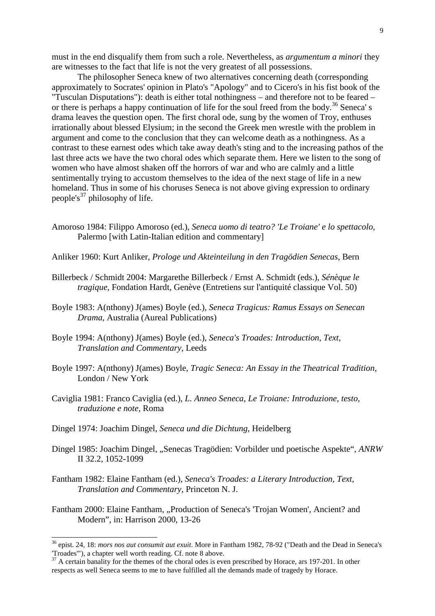must in the end disqualify them from such a role. Nevertheless, as *argumentum a minori* they are witnesses to the fact that life is not the very greatest of all possessions.

 The philosopher Seneca knew of two alternatives concerning death (corresponding approximately to Socrates' opinion in Plato's "Apology" and to Cicero's in his fist book of the "Tusculan Disputations"): death is either total nothingness – and therefore not to be feared – or there is perhaps a happy continuation of life for the soul freed from the body.<sup>36</sup> Seneca' s drama leaves the question open. The first choral ode, sung by the women of Troy, enthuses irrationally about blessed Elysium; in the second the Greek men wrestle with the problem in argument and come to the conclusion that they can welcome death as a nothingness. As a contrast to these earnest odes which take away death's sting and to the increasing pathos of the last three acts we have the two choral odes which separate them. Here we listen to the song of women who have almost shaken off the horrors of war and who are calmly and a little sentimentally trying to accustom themselves to the idea of the next stage of life in a new homeland. Thus in some of his choruses Seneca is not above giving expression to ordinary people's<sup>37</sup> philosophy of life.

- Amoroso 1984: Filippo Amoroso (ed.), *Seneca uomo di teatro? 'Le Troiane' e lo spettacolo,*  Palermo [with Latin-Italian edition and commentary]
- Anliker 1960: Kurt Anliker, *Prologe und Akteinteilung in den Tragödien Senecas,* Bern
- Billerbeck / Schmidt 2004: Margarethe Billerbeck / Ernst A. Schmidt (eds.), *Sénèque le tragique*, Fondation Hardt, Genève (Entretiens sur l'antiquité classique Vol. 50)
- Boyle 1983: A(nthony) J(ames) Boyle (ed.), *Seneca Tragicus: Ramus Essays on Senecan Drama,* Australia (Aureal Publications)
- Boyle 1994: A(nthony) J(ames) Boyle (ed.), *Seneca's Troades: Introduction, Text, Translation and Commentary*, Leeds
- Boyle 1997: A(nthony) J(ames) Boyle, *Tragic Seneca: An Essay in the Theatrical Tradition*, London / New York
- Caviglia 1981: Franco Caviglia (ed.), *L. Anneo Seneca, Le Troiane: Introduzione, testo, traduzione e note,* Roma
- Dingel 1974: Joachim Dingel, *Seneca und die Dichtung*, Heidelberg

- Dingel 1985: Joachim Dingel, "Senecas Tragödien: Vorbilder und poetische Aspekte", *ANRW* II 32.2, 1052-1099
- Fantham 1982: Elaine Fantham (ed.), *Seneca's Troades: a Literary Introduction, Text, Translation and Commentary,* Princeton N. J.
- Fantham 2000: Elaine Fantham, "Production of Seneca's 'Trojan Women', Ancient? and Modern", in: Harrison 2000, 13-26

<sup>36</sup> epist. 24, 18: *mors nos aut consumit aut exuit*. More in Fantham 1982, 78-92 ("Death and the Dead in Seneca's 'Troades'"), a chapter well worth reading. Cf. note 8 above.

<sup>&</sup>lt;sup>37</sup> A certain banality for the themes of the choral odes is even prescribed by Horace, ars 197-201. In other respects as well Seneca seems to me to have fulfilled all the demands made of tragedy by Horace.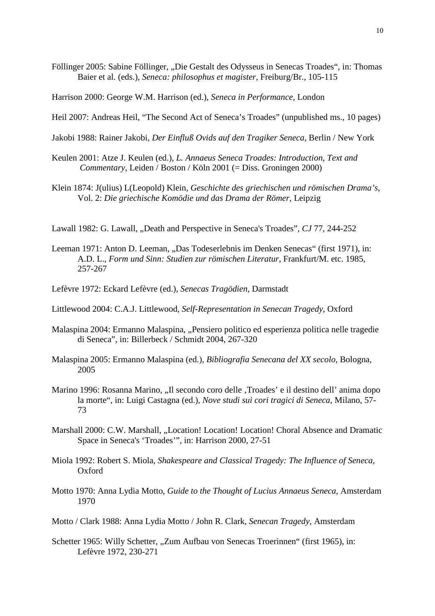Föllinger 2005: Sabine Föllinger, "Die Gestalt des Odysseus in Senecas Troades", in: Thomas Baier et al. (eds.), *Seneca: philosophus et magister*, Freiburg/Br., 105-115

Harrison 2000: George W.M. Harrison (ed.), *Seneca in Performance*, London

- Heil 2007: Andreas Heil, "The Second Act of Seneca's Troades" (unpublished ms., 10 pages)
- Jakobi 1988: Rainer Jakobi, *Der Einfluß Ovids auf den Tragiker Seneca*, Berlin / New York
- Keulen 2001: Atze J. Keulen (ed.), *L. Annaeus Seneca Troades: Introduction, Text and Commentary*, Leiden / Boston / Köln 2001 (= Diss. Groningen 2000)
- Klein 1874: J(ulius) L(Leopold) Klein, *Geschichte des griechischen und römischen Drama's*, Vol. 2: *Die griechische Komödie und das Drama der Römer*, Leipzig
- Lawall 1982: G. Lawall, "Death and Perspective in Seneca's Troades", CJ 77, 244-252
- Leeman 1971: Anton D. Leeman, "Das Todeserlebnis im Denken Senecas" (first 1971), in: A.D. L., *Form und Sinn: Studien zur römischen Literatur*, Frankfurt/M. etc. 1985, 257-267
- Lefèvre 1972: Eckard Lefèvre (ed.), *Senecas Tragödien,* Darmstadt
- Littlewood 2004: C.A.J. Littlewood, *Self-Representation in Senecan Tragedy*, Oxford
- Malaspina 2004: Ermanno Malaspina, "Pensiero politico ed esperienza politica nelle tragedie di Seneca", in: Billerbeck / Schmidt 2004, 267-320
- Malaspina 2005: Ermanno Malaspina (ed.), *Bibliografia Senecana del XX secolo*, Bologna, 2005
- Marino 1996: Rosanna Marino, "Il secondo coro delle , Troades' e il destino dell'anima dopo la morte", in: Luigi Castagna (ed.), *Nove studi sui cori tragici di Seneca*, Milano, 57- 73
- Marshall 2000: C.W. Marshall, "Location! Location! Location! Choral Absence and Dramatic Space in Seneca's 'Troades'", in: Harrison 2000, 27-51
- Miola 1992: Robert S. Miola, *Shakespeare and Classical Tragedy: The Influence of Seneca*, Oxford
- Motto 1970: Anna Lydia Motto, *Guide to the Thought of Lucius Annaeus Seneca,* Amsterdam 1970
- Motto / Clark 1988: Anna Lydia Motto / John R. Clark, *Senecan Tragedy*, Amsterdam
- Schetter 1965: Willy Schetter, "Zum Aufbau von Senecas Troerinnen" (first 1965), in: Lefèvre 1972, 230-271